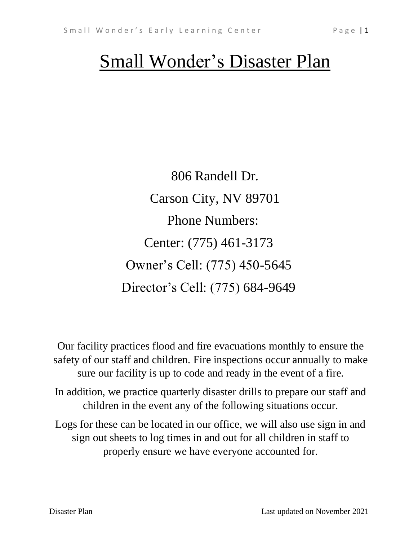# Small Wonder's Disaster Plan

806 Randell Dr. Carson City, NV 89701 Phone Numbers: Center: (775) 461-3173 Owner's Cell: (775) 450-5645 Director's Cell: (775) 684-9649

Our facility practices flood and fire evacuations monthly to ensure the safety of our staff and children. Fire inspections occur annually to make sure our facility is up to code and ready in the event of a fire.

In addition, we practice quarterly disaster drills to prepare our staff and children in the event any of the following situations occur.

Logs for these can be located in our office, we will also use sign in and sign out sheets to log times in and out for all children in staff to properly ensure we have everyone accounted for.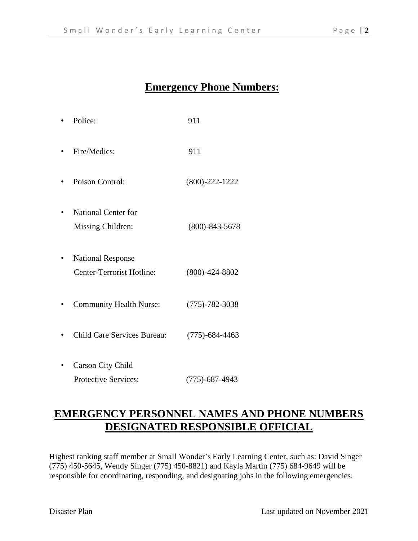## **Emergency Phone Numbers:**

| Police:                                                 | 911                  |
|---------------------------------------------------------|----------------------|
| Fire/Medics:                                            | 911                  |
| Poison Control:<br>٠                                    | $(800) - 222 - 1222$ |
| <b>National Center for</b><br>Missing Children:         | $(800) - 843 - 5678$ |
| <b>National Response</b><br>Center-Terrorist Hotline:   | $(800) - 424 - 8802$ |
| <b>Community Health Nurse:</b>                          | $(775) - 782 - 3038$ |
| <b>Child Care Services Bureau:</b>                      | $(775) - 684 - 4463$ |
| <b>Carson City Child</b><br><b>Protective Services:</b> | $(775) - 687 - 4943$ |

# **EMERGENCY PERSONNEL NAMES AND PHONE NUMBERS DESIGNATED RESPONSIBLE OFFICIAL**

Highest ranking staff member at Small Wonder's Early Learning Center, such as: David Singer (775) 450-5645, Wendy Singer (775) 450-8821) and Kayla Martin (775) 684-9649 will be responsible for coordinating, responding, and designating jobs in the following emergencies.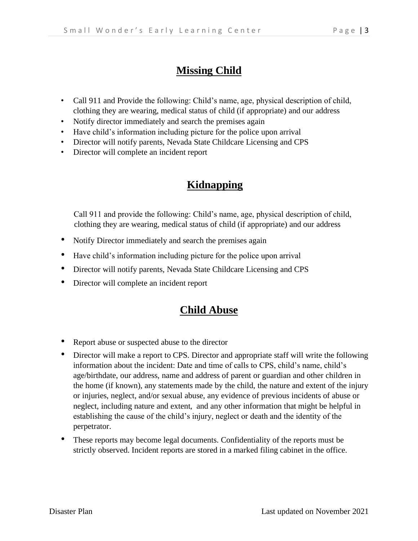# **Missing Child**

- Call 911 and Provide the following: Child's name, age, physical description of child, clothing they are wearing, medical status of child (if appropriate) and our address
- Notify director immediately and search the premises again
- Have child's information including picture for the police upon arrival
- Director will notify parents, Nevada State Childcare Licensing and CPS
- Director will complete an incident report

# **Kidnapping**

Call 911 and provide the following: Child's name, age, physical description of child, clothing they are wearing, medical status of child (if appropriate) and our address

- Notify Director immediately and search the premises again
- Have child's information including picture for the police upon arrival
- Director will notify parents, Nevada State Childcare Licensing and CPS
- Director will complete an incident report

## **Child Abuse**

- Report abuse or suspected abuse to the director
- Director will make a report to CPS. Director and appropriate staff will write the following information about the incident: Date and time of calls to CPS, child's name, child's age/birthdate, our address, name and address of parent or guardian and other children in the home (if known), any statements made by the child, the nature and extent of the injury or injuries, neglect, and/or sexual abuse, any evidence of previous incidents of abuse or neglect, including nature and extent, and any other information that might be helpful in establishing the cause of the child's injury, neglect or death and the identity of the perpetrator.
- These reports may become legal documents. Confidentiality of the reports must be strictly observed. Incident reports are stored in a marked filing cabinet in the office.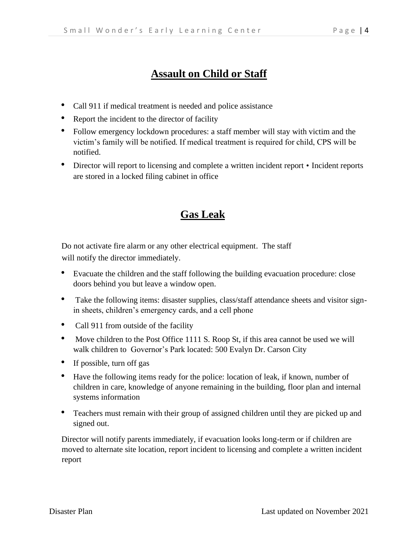# **Assault on Child or Staff**

- Call 911 if medical treatment is needed and police assistance
- Report the incident to the director of facility
- Follow emergency lockdown procedures: a staff member will stay with victim and the victim's family will be notified. If medical treatment is required for child, CPS will be notified.
- Director will report to licensing and complete a written incident report Incident reports are stored in a locked filing cabinet in office

## **Gas Leak**

Do not activate fire alarm or any other electrical equipment. The staff will notify the director immediately.

- Evacuate the children and the staff following the building evacuation procedure: close doors behind you but leave a window open.
- Take the following items: disaster supplies, class/staff attendance sheets and visitor signin sheets, children's emergency cards, and a cell phone
- Call 911 from outside of the facility
- Move children to the Post Office 1111 S. Roop St, if this area cannot be used we will walk children to Governor's Park located: 500 Evalyn Dr. Carson City
- If possible, turn off gas
- Have the following items ready for the police: location of leak, if known, number of children in care, knowledge of anyone remaining in the building, floor plan and internal systems information
- Teachers must remain with their group of assigned children until they are picked up and signed out.

Director will notify parents immediately, if evacuation looks long-term or if children are moved to alternate site location, report incident to licensing and complete a written incident report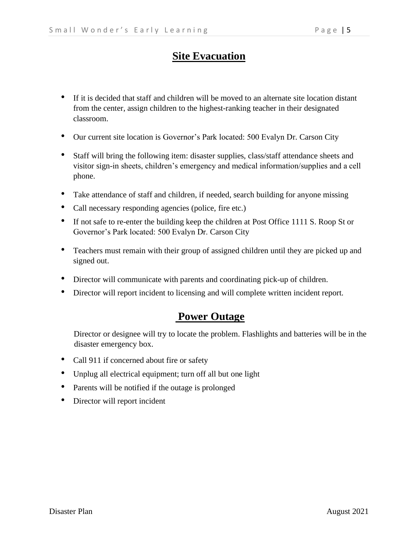## **Site Evacuation**

- If it is decided that staff and children will be moved to an alternate site location distant from the center, assign children to the highest-ranking teacher in their designated classroom.
- Our current site location is Governor's Park located: 500 Evalyn Dr. Carson City
- Staff will bring the following item: disaster supplies, class/staff attendance sheets and visitor sign-in sheets, children's emergency and medical information/supplies and a cell phone.
- Take attendance of staff and children, if needed, search building for anyone missing
- Call necessary responding agencies (police, fire etc.)
- If not safe to re-enter the building keep the children at Post Office 1111 S. Roop St or Governor's Park located: 500 Evalyn Dr. Carson City
- Teachers must remain with their group of assigned children until they are picked up and signed out.
- Director will communicate with parents and coordinating pick-up of children.
- Director will report incident to licensing and will complete written incident report.

## **Power Outage**

Director or designee will try to locate the problem. Flashlights and batteries will be in the disaster emergency box.

- Call 911 if concerned about fire or safety
- Unplug all electrical equipment; turn off all but one light
- Parents will be notified if the outage is prolonged
- Director will report incident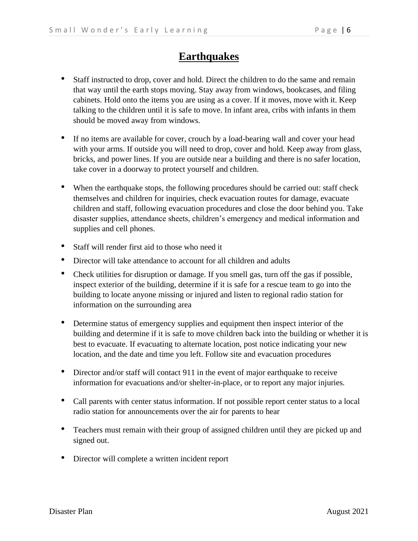## **Earthquakes**

- Staff instructed to drop, cover and hold. Direct the children to do the same and remain that way until the earth stops moving. Stay away from windows, bookcases, and filing cabinets. Hold onto the items you are using as a cover. If it moves, move with it. Keep talking to the children until it is safe to move. In infant area, cribs with infants in them should be moved away from windows.
- If no items are available for cover, crouch by a load-bearing wall and cover your head with your arms. If outside you will need to drop, cover and hold. Keep away from glass, bricks, and power lines. If you are outside near a building and there is no safer location, take cover in a doorway to protect yourself and children.
- When the earthquake stops, the following procedures should be carried out: staff check themselves and children for inquiries, check evacuation routes for damage, evacuate children and staff, following evacuation procedures and close the door behind you. Take disaster supplies, attendance sheets, children's emergency and medical information and supplies and cell phones.
- Staff will render first aid to those who need it
- Director will take attendance to account for all children and adults
- Check utilities for disruption or damage. If you smell gas, turn off the gas if possible, inspect exterior of the building, determine if it is safe for a rescue team to go into the building to locate anyone missing or injured and listen to regional radio station for information on the surrounding area
- Determine status of emergency supplies and equipment then inspect interior of the building and determine if it is safe to move children back into the building or whether it is best to evacuate. If evacuating to alternate location, post notice indicating your new location, and the date and time you left. Follow site and evacuation procedures
- Director and/or staff will contact 911 in the event of major earthquake to receive information for evacuations and/or shelter-in-place, or to report any major injuries.
- Call parents with center status information. If not possible report center status to a local radio station for announcements over the air for parents to hear
- Teachers must remain with their group of assigned children until they are picked up and signed out.
- Director will complete a written incident report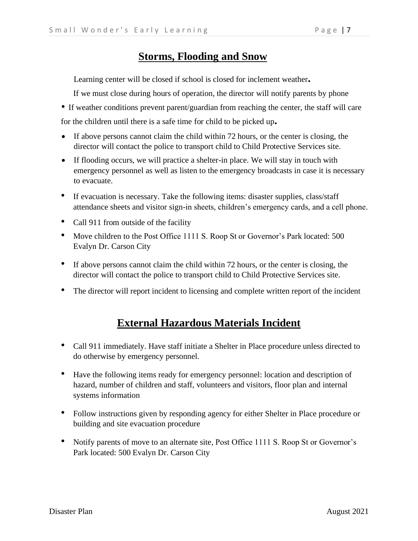#### **Storms, Flooding and Snow**

Learning center will be closed if school is closed for inclement weather**.**

If we must close during hours of operation, the director will notify parents by phone

• If weather conditions prevent parent/guardian from reaching the center, the staff will care

for the children until there is a safe time for child to be picked up**.**

- If above persons cannot claim the child within 72 hours, or the center is closing, the director will contact the police to transport child to Child Protective Services site.
- If flooding occurs, we will practice a shelter-in place. We will stay in touch with emergency personnel as well as listen to the emergency broadcasts in case it is necessary to evacuate.
- If evacuation is necessary. Take the following items: disaster supplies, class/staff attendance sheets and visitor sign-in sheets, children's emergency cards, and a cell phone.
- Call 911 from outside of the facility
- Move children to the Post Office 1111 S. Roop St or Governor's Park located: 500 Evalyn Dr. Carson City
- If above persons cannot claim the child within 72 hours, or the center is closing, the director will contact the police to transport child to Child Protective Services site.
- The director will report incident to licensing and complete written report of the incident

# **External Hazardous Materials Incident**

- Call 911 immediately. Have staff initiate a Shelter in Place procedure unless directed to do otherwise by emergency personnel.
- Have the following items ready for emergency personnel: location and description of hazard, number of children and staff, volunteers and visitors, floor plan and internal systems information
- Follow instructions given by responding agency for either Shelter in Place procedure or building and site evacuation procedure
- Notify parents of move to an alternate site, Post Office 1111 S. Roop St or Governor's Park located: 500 Evalyn Dr. Carson City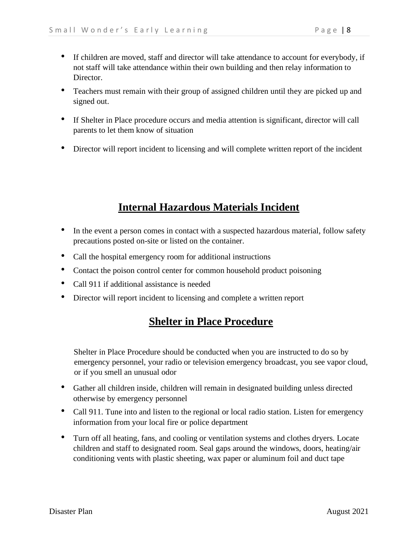- If children are moved, staff and director will take attendance to account for everybody, if not staff will take attendance within their own building and then relay information to Director.
- Teachers must remain with their group of assigned children until they are picked up and signed out.
- If Shelter in Place procedure occurs and media attention is significant, director will call parents to let them know of situation
- Director will report incident to licensing and will complete written report of the incident

# **Internal Hazardous Materials Incident**

- In the event a person comes in contact with a suspected hazardous material, follow safety precautions posted on-site or listed on the container.
- Call the hospital emergency room for additional instructions
- Contact the poison control center for common household product poisoning
- Call 911 if additional assistance is needed
- Director will report incident to licensing and complete a written report

## **Shelter in Place Procedure**

Shelter in Place Procedure should be conducted when you are instructed to do so by emergency personnel, your radio or television emergency broadcast, you see vapor cloud, or if you smell an unusual odor

- Gather all children inside, children will remain in designated building unless directed otherwise by emergency personnel
- Call 911. Tune into and listen to the regional or local radio station. Listen for emergency information from your local fire or police department
- Turn off all heating, fans, and cooling or ventilation systems and clothes dryers. Locate children and staff to designated room. Seal gaps around the windows, doors, heating/air conditioning vents with plastic sheeting, wax paper or aluminum foil and duct tape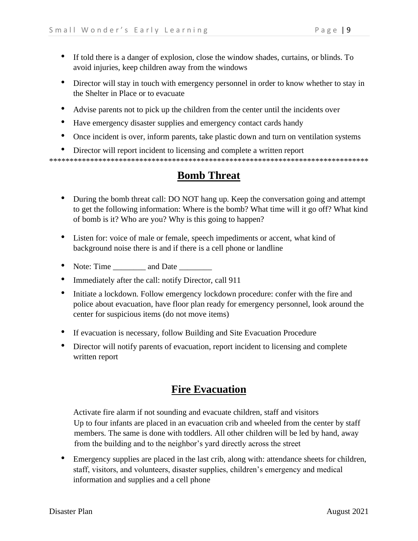- If told there is a danger of explosion, close the window shades, curtains, or blinds. To avoid injuries, keep children away from the windows
- Director will stay in touch with emergency personnel in order to know whether to stay in the Shelter in Place or to evacuate
- Advise parents not to pick up the children from the center until the incidents over
- Have emergency disaster supplies and emergency contact cards handy
- Once incident is over, inform parents, take plastic down and turn on ventilation systems
- Director will report incident to licensing and complete a written report

\*\*\*\*\*\*\*\*\*\*\*\*\*\*\*\*\*\*\*\*\*\*\*\*\*\*\*\*\*\*\*\*\*\*\*\*\*\*\*\*\*\*\*\*\*\*\*\*\*\*\*\*\*\*\*\*\*\*\*\*\*\*\*\*\*\*\*\*\*\*\*\*\*\*\*\*\*\*

# **Bomb Threat**

- During the bomb threat call: DO NOT hang up. Keep the conversation going and attempt to get the following information: Where is the bomb? What time will it go off? What kind of bomb is it? Who are you? Why is this going to happen?
- Listen for: voice of male or female, speech impediments or accent, what kind of background noise there is and if there is a cell phone or landline
- Note: Time \_\_\_\_\_\_\_\_\_ and Date \_\_\_\_\_\_\_
- Immediately after the call: notify Director, call 911
- Initiate a lockdown. Follow emergency lockdown procedure: confer with the fire and police about evacuation, have floor plan ready for emergency personnel, look around the center for suspicious items (do not move items)
- If evacuation is necessary, follow Building and Site Evacuation Procedure
- Director will notify parents of evacuation, report incident to licensing and complete written report

## **Fire Evacuation**

Activate fire alarm if not sounding and evacuate children, staff and visitors Up to four infants are placed in an evacuation crib and wheeled from the center by staff members. The same is done with toddlers. All other children will be led by hand, away from the building and to the neighbor's yard directly across the street

• Emergency supplies are placed in the last crib, along with: attendance sheets for children, staff, visitors, and volunteers, disaster supplies, children's emergency and medical information and supplies and a cell phone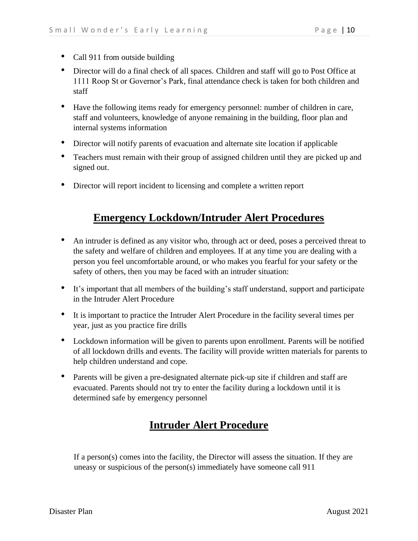- Call 911 from outside building
- Director will do a final check of all spaces. Children and staff will go to Post Office at 1111 Roop St or Governor's Park, final attendance check is taken for both children and staff
- Have the following items ready for emergency personnel: number of children in care, staff and volunteers, knowledge of anyone remaining in the building, floor plan and internal systems information
- Director will notify parents of evacuation and alternate site location if applicable
- Teachers must remain with their group of assigned children until they are picked up and signed out.
- Director will report incident to licensing and complete a written report

## **Emergency Lockdown/Intruder Alert Procedures**

- An intruder is defined as any visitor who, through act or deed, poses a perceived threat to the safety and welfare of children and employees. If at any time you are dealing with a person you feel uncomfortable around, or who makes you fearful for your safety or the safety of others, then you may be faced with an intruder situation:
- It's important that all members of the building's staff understand, support and participate in the Intruder Alert Procedure
- It is important to practice the Intruder Alert Procedure in the facility several times per year, just as you practice fire drills
- Lockdown information will be given to parents upon enrollment. Parents will be notified of all lockdown drills and events. The facility will provide written materials for parents to help children understand and cope.
- Parents will be given a pre-designated alternate pick-up site if children and staff are evacuated. Parents should not try to enter the facility during a lockdown until it is determined safe by emergency personnel

# **Intruder Alert Procedure**

If a person(s) comes into the facility, the Director will assess the situation. If they are uneasy or suspicious of the person(s) immediately have someone call 911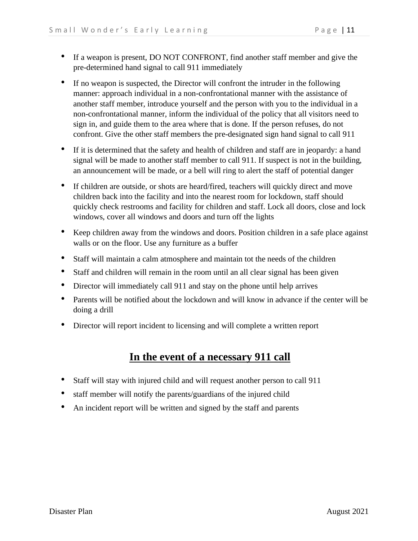- If a weapon is present, DO NOT CONFRONT, find another staff member and give the pre-determined hand signal to call 911 immediately
- If no weapon is suspected, the Director will confront the intruder in the following manner: approach individual in a non-confrontational manner with the assistance of another staff member, introduce yourself and the person with you to the individual in a non-confrontational manner, inform the individual of the policy that all visitors need to sign in, and guide them to the area where that is done. If the person refuses, do not confront. Give the other staff members the pre-designated sign hand signal to call 911
- If it is determined that the safety and health of children and staff are in jeopardy: a hand signal will be made to another staff member to call 911. If suspect is not in the building, an announcement will be made, or a bell will ring to alert the staff of potential danger
- If children are outside, or shots are heard/fired, teachers will quickly direct and move children back into the facility and into the nearest room for lockdown, staff should quickly check restrooms and facility for children and staff. Lock all doors, close and lock windows, cover all windows and doors and turn off the lights
- Keep children away from the windows and doors. Position children in a safe place against walls or on the floor. Use any furniture as a buffer
- Staff will maintain a calm atmosphere and maintain tot the needs of the children
- Staff and children will remain in the room until an all clear signal has been given
- Director will immediately call 911 and stay on the phone until help arrives
- Parents will be notified about the lockdown and will know in advance if the center will be doing a drill
- Director will report incident to licensing and will complete a written report

# **In the event of a necessary 911 call**

- Staff will stay with injured child and will request another person to call 911
- staff member will notify the parents/guardians of the injured child
- An incident report will be written and signed by the staff and parents